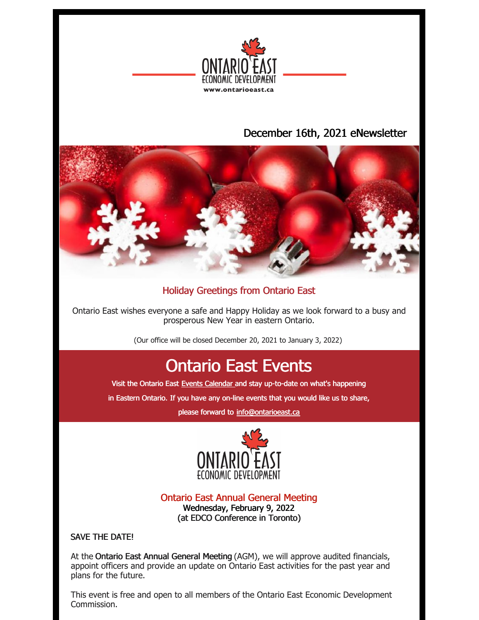

## December 16th, 2021 eNewsletter



### Holiday Greetings from Ontario East

Ontario East wishes everyone a safe and Happy Holiday as we look forward to a busy and prosperous New Year in eastern Ontario.

(Our office will be closed December 20, 2021 to January 3, 2022)

# Ontario East Events

Visit the Ontario East Events [Calendar](https://ontarioeast.ca/events) and stay up-to-date on what's happening

in Eastern Ontario. If you have any on-line events that you would like us to share,

please forward to [info@ontarioeast.ca](mailto:info@ontarioeast.ca)



Ontario East Annual General Meeting

Wednesday, February 9, 2022 (at EDCO Conference in Toronto)

### SAVE THE DATE!

At the Ontario East Annual General Meeting (AGM), we will approve audited financials, appoint officers and provide an update on Ontario East activities for the past year and plans for the future.

This event is free and open to all members of the Ontario East Economic Development Commission.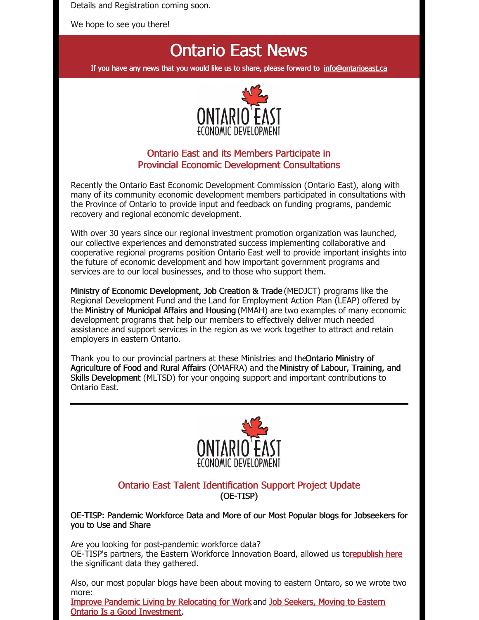Details and Registration coming soon.

We hope to see you there!

## Ontario East News

If you have any news that you would like us to share, please forward to [info@ontarioeast.ca](mailto:info@ontarioeast.ca)



### Ontario East and its Members Participate in Provincial Economic Development Consultations

Recently the Ontario East Economic Development Commission (Ontario East), along with many of its community economic development members participated in consultations with the Province of Ontario to provide input and feedback on funding programs, pandemic recovery and regional economic development.

With over 30 years since our regional investment promotion organization was launched, our collective experiences and demonstrated success implementing collaborative and cooperative regional programs position Ontario East well to provide important insights into the future of economic development and how important government programs and services are to our local businesses, and to those who support them.

Ministry of Economic Development, Job Creation & Trade (MEDJCT) programs like the Regional Development Fund and the Land for Employment Action Plan (LEAP) offered by the Ministry of Municipal Affairs and Housing (MMAH) are two examples of many economic development programs that help our members to effectively deliver much needed assistance and support services in the region as we work together to attract and retain employers in eastern Ontario.

Thank you to our provincial partners at these Ministries and theOntario Ministry of Agriculture of Food and Rural Affairs (OMAFRA) and the Ministry of Labour, Training, and Skills Development (MLTSD) for your ongoing support and important contributions to Ontario East.



#### Ontario East Talent Identification Support Project Update (OE-TISP)

OE-TISP: Pandemic Workforce Data and More of our Most Popular blogs for Jobseekers for you to Use and Share

Are you looking for post-pandemic workforce data? OE-TISP's partners, the Eastern Workforce Innovation Board, allowed us t[orepublish](https://t.sidekickopen01.com/s3t/c/5/f18dQhb0S7kv8c82szVf5rhG59hl3kW7_k2842PyJyGW7wzN4k2Qx-dHW2Swb-n2bzNMtf46JSFc01?te=W3R5hFj4cm2zwW3CbHnh1JDwy2W3zgDbB3K1M16W1JxvHB4fHRFDW45SBb-1GGmmMW3H4SVQ3DJ0HVF49N02sPbGL1&si=5457739056414720&pi=3e4d62b5-536f-4d62-f1d6-d3ff78fb6e99) here the significant data they gathered.

Also, our most popular blogs have been about moving to eastern Ontaro, so we wrote two more:

Improve Pandemic Living by [Relocating](https://t.sidekickopen01.com/s3t/c/5/f18dQhb0S7kv8c82szVf5rhG59hl3kW7_k2842PyJyGW7wzN4k2Qx-dHW2Swb-n2bzNMtf46JSFc01?te=W3R5hFj4cm2zwW3CbHnh1JDwy2W3zgDbB3K1M16W1JxvHB49KvSNW3F4G5h41S2fsF43W8-VRKRV1&si=5457739056414720&pi=3e4d62b5-536f-4d62-f1d6-d3ff78fb6e99) for Work and Job Seekers, Moving to Eastern Ontario Is a Good [Investment.](https://blog.ontarioeast.ca/job-seekers-moving-to-eastern-ontario)